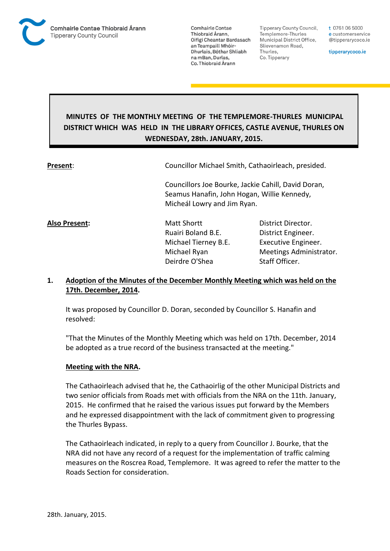

Tipperary County Council. Templemore-Thurles Municipal District Office, Slievenamon Road, Thurles, Co. Tipperary

t 0761 06 5000 e customerservice @tipperarycoco.ie

tipperarycoco.ie

# **MINUTES OF THE MONTHLY MEETING OF THE TEMPLEMORE-THURLES MUNICIPAL DISTRICT WHICH WAS HELD IN THE LIBRARY OFFICES, CASTLE AVENUE, THURLES ON WEDNESDAY, 28th. JANUARY, 2015.**

**Present:** Councillor Michael Smith, Cathaoirleach, presided.

Councillors Joe Bourke, Jackie Cahill, David Doran, Seamus Hanafin, John Hogan, Willie Kennedy, Micheál Lowry and Jim Ryan.

**Also Present:** Matt Shortt District Director. Ruairi Boland B.E. District Engineer. Michael Tierney B.E. Executive Engineer. Deirdre O'Shea Staff Officer.

Michael Ryan Meetings Administrator.

## **1. Adoption of the Minutes of the December Monthly Meeting which was held on the 17th. December, 2014.**

It was proposed by Councillor D. Doran, seconded by Councillor S. Hanafin and resolved:

"That the Minutes of the Monthly Meeting which was held on 17th. December, 2014 be adopted as a true record of the business transacted at the meeting."

#### **Meeting with the NRA.**

The Cathaoirleach advised that he, the Cathaoirlig of the other Municipal Districts and two senior officials from Roads met with officials from the NRA on the 11th. January, 2015. He confirmed that he raised the various issues put forward by the Members and he expressed disappointment with the lack of commitment given to progressing the Thurles Bypass.

The Cathaoirleach indicated, in reply to a query from Councillor J. Bourke, that the NRA did not have any record of a request for the implementation of traffic calming measures on the Roscrea Road, Templemore. It was agreed to refer the matter to the Roads Section for consideration.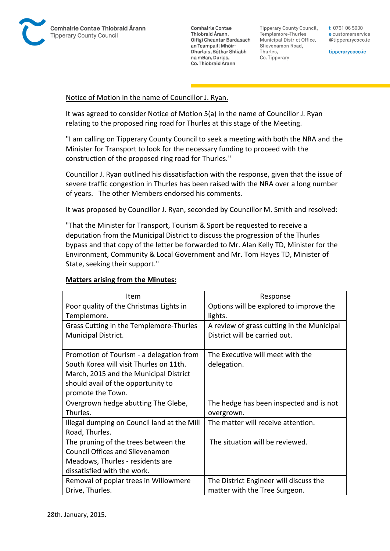

**Tipperary County Council,** Templemore-Thurles Municipal District Office, Slievenamon Road, Thurles, Co. Tipperary

t 0761 06 5000 e customerservice @tipperarycoco.ie

tipperarycoco.ie

#### Notice of Motion in the name of Councillor J. Ryan.

It was agreed to consider Notice of Motion 5(a) in the name of Councillor J. Ryan relating to the proposed ring road for Thurles at this stage of the Meeting.

"I am calling on Tipperary County Council to seek a meeting with both the NRA and the Minister for Transport to look for the necessary funding to proceed with the construction of the proposed ring road for Thurles."

Councillor J. Ryan outlined his dissatisfaction with the response, given that the issue of severe traffic congestion in Thurles has been raised with the NRA over a long number of years. The other Members endorsed his comments.

It was proposed by Councillor J. Ryan, seconded by Councillor M. Smith and resolved:

"That the Minister for Transport, Tourism & Sport be requested to receive a deputation from the Municipal District to discuss the progression of the Thurles bypass and that copy of the letter be forwarded to Mr. Alan Kelly TD, Minister for the Environment, Community & Local Government and Mr. Tom Hayes TD, Minister of State, seeking their support."

#### **Matters arising from the Minutes:**

| Item                                        | Response                                   |
|---------------------------------------------|--------------------------------------------|
| Poor quality of the Christmas Lights in     | Options will be explored to improve the    |
| Templemore.                                 | lights.                                    |
| Grass Cutting in the Templemore-Thurles     | A review of grass cutting in the Municipal |
| Municipal District.                         | District will be carried out.              |
|                                             |                                            |
| Promotion of Tourism - a delegation from    | The Executive will meet with the           |
| South Korea will visit Thurles on 11th.     | delegation.                                |
| March, 2015 and the Municipal District      |                                            |
| should avail of the opportunity to          |                                            |
| promote the Town.                           |                                            |
| Overgrown hedge abutting The Glebe,         | The hedge has been inspected and is not    |
| Thurles.                                    | overgrown.                                 |
| Illegal dumping on Council land at the Mill | The matter will receive attention.         |
| Road, Thurles.                              |                                            |
| The pruning of the trees between the        | The situation will be reviewed.            |
| <b>Council Offices and Slievenamon</b>      |                                            |
| Meadows, Thurles - residents are            |                                            |
| dissatisfied with the work.                 |                                            |
| Removal of poplar trees in Willowmere       | The District Engineer will discuss the     |
| Drive, Thurles.                             | matter with the Tree Surgeon.              |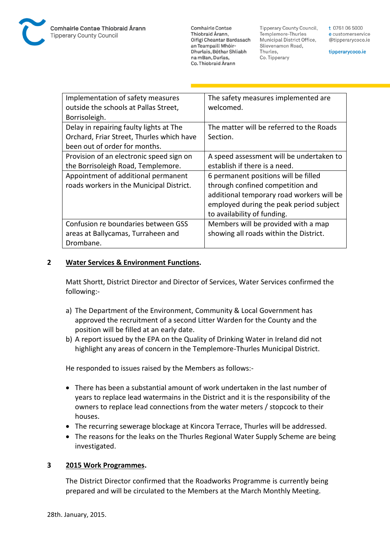**Tipperary County Council,** Templemore-Thurles Municipal District Office, Slievenamon Road, Thurles, Co. Tipperary

t 0761 06 5000 e customerservice @tipperarycoco.ie

tipperarycoco.ie

| Implementation of safety measures         | The safety measures implemented are<br>welcomed. |
|-------------------------------------------|--------------------------------------------------|
| outside the schools at Pallas Street,     |                                                  |
| Borrisoleigh.                             |                                                  |
| Delay in repairing faulty lights at The   | The matter will be referred to the Roads         |
| Orchard, Friar Street, Thurles which have | Section.                                         |
| been out of order for months.             |                                                  |
| Provision of an electronic speed sign on  | A speed assessment will be undertaken to         |
| the Borrisoleigh Road, Templemore.        | establish if there is a need.                    |
| Appointment of additional permanent       | 6 permanent positions will be filled             |
| roads workers in the Municipal District.  | through confined competition and                 |
|                                           | additional temporary road workers will be        |
|                                           | employed during the peak period subject          |
|                                           | to availability of funding.                      |
| Confusion re boundaries between GSS       | Members will be provided with a map              |
| areas at Ballycamas, Turraheen and        | showing all roads within the District.           |
| Drombane.                                 |                                                  |

#### **2 Water Services & Environment Functions.**

Matt Shortt, District Director and Director of Services, Water Services confirmed the following:-

- a) The Department of the Environment, Community & Local Government has approved the recruitment of a second Litter Warden for the County and the position will be filled at an early date.
- b) A report issued by the EPA on the Quality of Drinking Water in Ireland did not highlight any areas of concern in the Templemore-Thurles Municipal District.

He responded to issues raised by the Members as follows:-

- There has been a substantial amount of work undertaken in the last number of years to replace lead watermains in the District and it is the responsibility of the owners to replace lead connections from the water meters / stopcock to their houses.
- The recurring sewerage blockage at Kincora Terrace, Thurles will be addressed.
- The reasons for the leaks on the Thurles Regional Water Supply Scheme are being investigated.

#### **3 2015 Work Programmes.**

The District Director confirmed that the Roadworks Programme is currently being prepared and will be circulated to the Members at the March Monthly Meeting.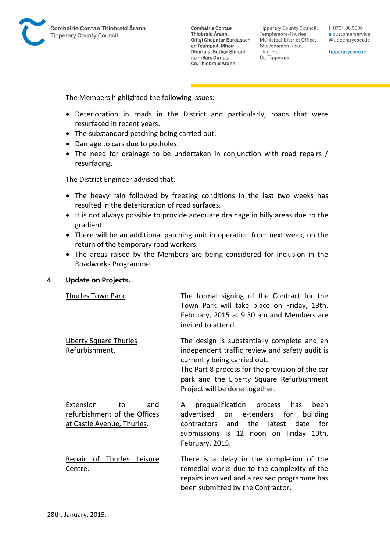

Tipperary County Council, Templemore-Thurles Municipal District Office, Slievenamon Road, Thurles, Co. Tipperary

t 0761 06 5000 e customerservice @tipperarycoco.ie

tipperarycoco.ie

The Members highlighted the following issues:

- Deterioration in roads in the District and particularly, roads that were resurfaced in recent years.
- The substandard patching being carried out.
- Damage to cars due to potholes.
- The need for drainage to be undertaken in conjunction with road repairs / resurfacing.

The District Engineer advised that:

- The heavy rain followed by freezing conditions in the last two weeks has resulted in the deterioration of road surfaces.
- It is not always possible to provide adequate drainage in hilly areas due to the gradient.
- There will be an additional patching unit in operation from next week, on the return of the temporary road workers.
- The areas raised by the Members are being considered for inclusion in the Roadworks Programme.

#### **4 Update on Projects.**

| Thurles Town Park.                                                                   | The formal signing of the Contract for the<br>Town Park will take place on Friday, 13th.<br>February, 2015 at 9.30 am and Members are<br>invited to attend.                                                                                                     |
|--------------------------------------------------------------------------------------|-----------------------------------------------------------------------------------------------------------------------------------------------------------------------------------------------------------------------------------------------------------------|
| Liberty Square Thurles<br>Refurbishment.                                             | The design is substantially complete and an<br>independent traffic review and safety audit is<br>currently being carried out.<br>The Part 8 process for the provision of the car<br>park and the Liberty Square Refurbishment<br>Project will be done together. |
| Extension<br>to<br>and<br>refurbishment of the Offices<br>at Castle Avenue, Thurles. | prequalification process has<br>been<br>A<br>e-tenders for<br>advertised<br>on<br>building<br>the latest<br>contractors and<br>date<br>for<br>submissions is 12 noon on Friday 13th.<br>February, 2015.                                                         |
| Repair of Thurles Leisure<br>Centre.                                                 | There is a delay in the completion of the<br>remedial works due to the complexity of the<br>repairs involved and a revised programme has<br>been submitted by the Contractor.                                                                                   |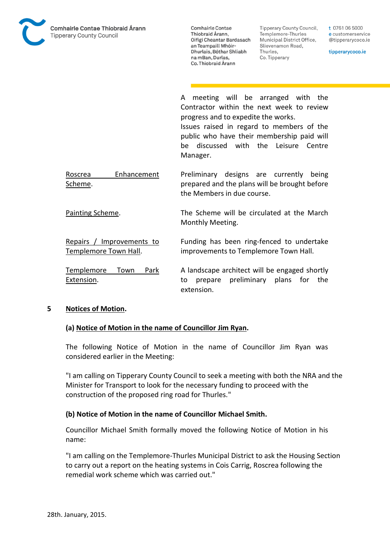

**Tipperary County Council,** Templemore-Thurles Municipal District Office, Slievenamon Road, Thurles, Co. Tipperary

t 0761 06 5000 e customerservice @tipperarycoco.ie

tipperarycoco.ie

A meeting will be arranged with the Contractor within the next week to review progress and to expedite the works. Issues raised in regard to members of the public who have their membership paid will be discussed with the Leisure Centre Manager.

Roscrea Enhancement Scheme. Preliminary designs are currently being prepared and the plans will be brought before the Members in due course.

Painting Scheme. The Scheme will be circulated at the March Monthly Meeting.

Repairs / Improvements to Templemore Town Hall. Funding has been ring-fenced to undertake improvements to Templemore Town Hall.

Templemore Town Park Extension. A landscape architect will be engaged shortly to prepare preliminary plans for the extension.

#### **5 Notices of Motion.**

#### **(a) Notice of Motion in the name of Councillor Jim Ryan.**

The following Notice of Motion in the name of Councillor Jim Ryan was considered earlier in the Meeting:

"I am calling on Tipperary County Council to seek a meeting with both the NRA and the Minister for Transport to look for the necessary funding to proceed with the construction of the proposed ring road for Thurles."

#### **(b) Notice of Motion in the name of Councillor Michael Smith.**

Councillor Michael Smith formally moved the following Notice of Motion in his name:

"I am calling on the Templemore-Thurles Municipal District to ask the Housing Section to carry out a report on the heating systems in Cois Carrig, Roscrea following the remedial work scheme which was carried out."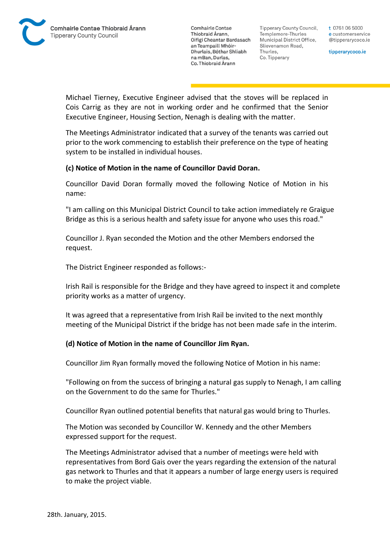

**Tipperary County Council,** Templemore-Thurles Municipal District Office, Slievenamon Road, Thurles, Co. Tipperary

t 0761 06 5000 e customerservice @tipperarycoco.ie

tipperarycoco.ie

Michael Tierney, Executive Engineer advised that the stoves will be replaced in Cois Carrig as they are not in working order and he confirmed that the Senior Executive Engineer, Housing Section, Nenagh is dealing with the matter.

The Meetings Administrator indicated that a survey of the tenants was carried out prior to the work commencing to establish their preference on the type of heating system to be installed in individual houses.

### **(c) Notice of Motion in the name of Councillor David Doran.**

Councillor David Doran formally moved the following Notice of Motion in his name:

"I am calling on this Municipal District Council to take action immediately re Graigue Bridge as this is a serious health and safety issue for anyone who uses this road."

Councillor J. Ryan seconded the Motion and the other Members endorsed the request.

The District Engineer responded as follows:-

Irish Rail is responsible for the Bridge and they have agreed to inspect it and complete priority works as a matter of urgency.

It was agreed that a representative from Irish Rail be invited to the next monthly meeting of the Municipal District if the bridge has not been made safe in the interim.

#### **(d) Notice of Motion in the name of Councillor Jim Ryan.**

Councillor Jim Ryan formally moved the following Notice of Motion in his name:

"Following on from the success of bringing a natural gas supply to Nenagh, I am calling on the Government to do the same for Thurles."

Councillor Ryan outlined potential benefits that natural gas would bring to Thurles.

The Motion was seconded by Councillor W. Kennedy and the other Members expressed support for the request.

The Meetings Administrator advised that a number of meetings were held with representatives from Bord Gais over the years regarding the extension of the natural gas network to Thurles and that it appears a number of large energy users is required to make the project viable.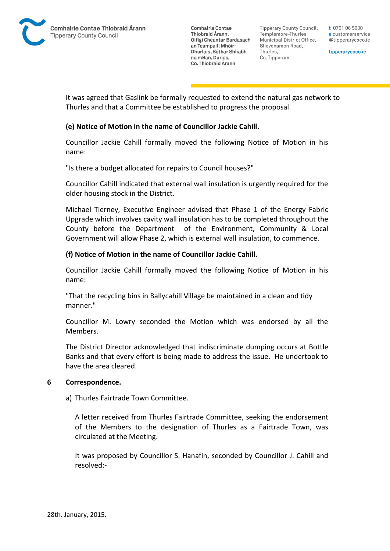

Tipperary County Council. Templemore-Thurles Municipal District Office, Slievenamon Road, Thurles, Co. Tipperary

t 0761 06 5000 e customerservice @tipperarycoco.ie

tipperarycoco.ie

It was agreed that Gaslink be formally requested to extend the natural gas network to Thurles and that a Committee be established to progress the proposal.

## **(e) Notice of Motion in the name of Councillor Jackie Cahill.**

Councillor Jackie Cahill formally moved the following Notice of Motion in his name:

"Is there a budget allocated for repairs to Council houses?"

Councillor Cahill indicated that external wall insulation is urgently required for the older housing stock in the District.

Michael Tierney, Executive Engineer advised that Phase 1 of the Energy Fabric Upgrade which involves cavity wall insulation has to be completed throughout the County before the Department of the Environment, Community & Local Government will allow Phase 2, which is external wall insulation, to commence.

#### **(f) Notice of Motion in the name of Councillor Jackie Cahill.**

Councillor Jackie Cahill formally moved the following Notice of Motion in his name:

"That the recycling bins in Ballycahill Village be maintained in a clean and tidy manner."

Councillor M. Lowry seconded the Motion which was endorsed by all the Members.

The District Director acknowledged that indiscriminate dumping occurs at Bottle Banks and that every effort is being made to address the issue. He undertook to have the area cleared.

#### **6 Correspondence.**

#### a) Thurles Fairtrade Town Committee.

A letter received from Thurles Fairtrade Committee, seeking the endorsement of the Members to the designation of Thurles as a Fairtrade Town, was circulated at the Meeting.

It was proposed by Councillor S. Hanafin, seconded by Councillor J. Cahill and resolved:-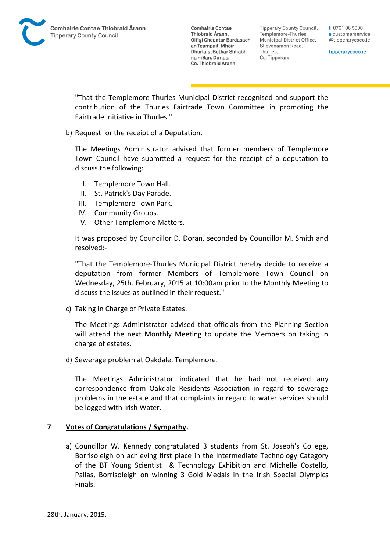Tipperary County Council. Templemore-Thurles Municipal District Office, Slievenamon Road, Thurles, Co. Tipperary

t 0761 06 5000 e customerservice @tipperarycoco.ie

tipperarycoco.ie

"That the Templemore-Thurles Municipal District recognised and support the contribution of the Thurles Fairtrade Town Committee in promoting the Fairtrade Initiative in Thurles."

b) Request for the receipt of a Deputation.

The Meetings Administrator advised that former members of Templemore Town Council have submitted a request for the receipt of a deputation to discuss the following:

- I. Templemore Town Hall.
- II. St. Patrick's Day Parade.
- III. Templemore Town Park.
- IV. Community Groups.
- V. Other Templemore Matters.

It was proposed by Councillor D. Doran, seconded by Councillor M. Smith and resolved:-

"That the Templemore-Thurles Municipal District hereby decide to receive a deputation from former Members of Templemore Town Council on Wednesday, 25th. February, 2015 at 10:00am prior to the Monthly Meeting to discuss the issues as outlined in their request."

c) Taking in Charge of Private Estates.

The Meetings Administrator advised that officials from the Planning Section will attend the next Monthly Meeting to update the Members on taking in charge of estates.

d) Sewerage problem at Oakdale, Templemore.

The Meetings Administrator indicated that he had not received any correspondence from Oakdale Residents Association in regard to sewerage problems in the estate and that complaints in regard to water services should be logged with Irish Water.

#### **7 Votes of Congratulations / Sympathy.**

a) Councillor W. Kennedy congratulated 3 students from St. Joseph's College, Borrisoleigh on achieving first place in the Intermediate Technology Category of the BT Young Scientist & Technology Exhibition and Michelle Costello, Pallas, Borrisoleigh on winning 3 Gold Medals in the Irish Special Olympics Finals.